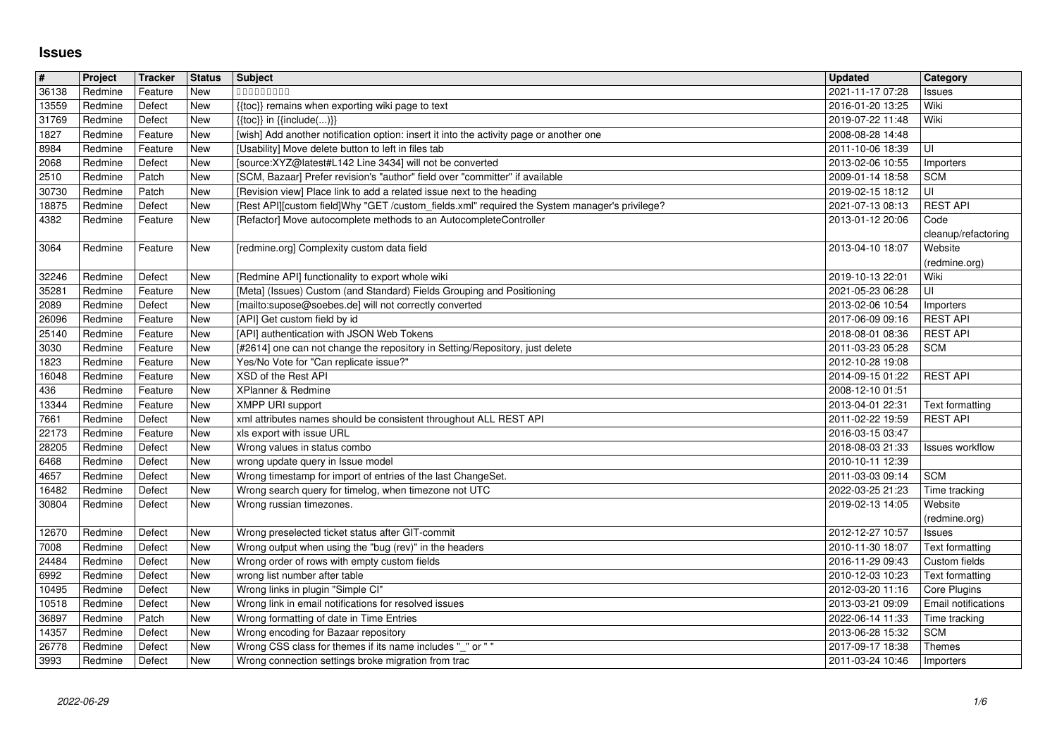## **Issues**

| New<br>36138<br>Redmine<br>Feature<br>000000000<br>2021-11-17 07:28<br>Issues<br>Wiki<br>13559<br>Redmine<br>Defect<br><b>New</b><br>{{toc}} remains when exporting wiki page to text<br>2016-01-20 13:25<br>New<br>Wiki<br>31769<br>Redmine<br>Defect<br>$\{\{\text{toc}\}\}\$ in $\{\{\text{include}()\}\}$<br>2019-07-22 11:48<br>[wish] Add another notification option: insert it into the activity page or another one<br>Redmine<br>Feature<br>New<br>2008-08-28 14:48<br>[Usability] Move delete button to left in files tab<br>Redmine<br>Feature<br>New<br>2011-10-06 18:39<br>ΙUΙ<br>[source:XYZ@latest#L142 Line 3434] will not be converted<br>Redmine<br>New<br>2013-02-06 10:55<br>Defect<br>Importers<br>[SCM, Bazaar] Prefer revision's "author" field over "committer" if available<br>2510<br>Redmine<br>Patch<br>New<br><b>SCM</b><br>2009-01-14 18:58<br>[Revision view] Place link to add a related issue next to the heading<br>l UI<br>30730<br>Redmine<br>Patch<br>New<br>2019-02-15 18:12<br>New<br>[Rest API][custom field]Why "GET /custom_fields.xml" required the System manager's privilege?<br><b>REST API</b><br>Redmine<br>Defect<br>2021-07-13 08:13<br>[Refactor] Move autocomplete methods to an AutocompleteController<br>Redmine<br>Feature<br>New<br>2013-01-12 20:06<br>Code<br>cleanup/refactoring<br>Redmine<br>Feature<br>New<br>[redmine.org] Complexity custom data field<br>2013-04-10 18:07<br>Website<br>(redmine.org)<br>Redmine<br>Defect<br>[Redmine API] functionality to export whole wiki<br>2019-10-13 22:01<br>Wiki<br>New<br>[Meta] (Issues) Custom (and Standard) Fields Grouping and Positioning<br>Redmine<br>Feature<br><b>New</b><br>2021-05-23 06:28<br>UI<br>35281<br>Redmine<br>Defect<br>New<br>[mailto:supose@soebes.de] will not correctly converted<br>2089<br>2013-02-06 10:54<br>Importers<br>New<br>[API] Get custom field by id<br><b>REST API</b><br>Redmine<br>Feature<br>2017-06-09 09:16<br><b>New</b><br>[API] authentication with JSON Web Tokens<br><b>REST API</b><br>Redmine<br>Feature<br>2018-08-01 08:36<br>[#2614] one can not change the repository in Setting/Repository, just delete<br><b>SCM</b><br>3030<br>Redmine<br>New<br>2011-03-23 05:28<br>Feature<br>Yes/No Vote for "Can replicate issue?"<br>2012-10-28 19:08<br>1823<br>Redmine<br>Feature<br>New<br>XSD of the Rest API<br><b>REST API</b><br>16048<br>Redmine<br>Feature<br>New<br>2014-09-15 01:22<br>Redmine<br>Feature<br>New<br>XPlanner & Redmine<br>2008-12-10 01:51<br><b>XMPP URI support</b><br>13344<br>Redmine<br>New<br>2013-04-01 22:31<br>Feature<br>Text formatting<br>New<br>xml attributes names should be consistent throughout ALL REST API<br><b>REST API</b><br>7661<br>Redmine<br>Defect<br>2011-02-22 19:59<br>New<br>xls export with issue URL<br>22173<br>Redmine<br>Feature<br>2016-03-15 03:47<br><b>New</b><br>Wrong values in status combo<br>Redmine<br>Defect<br>2018-08-03 21:33<br><b>Issues workflow</b><br>New<br>Defect<br>wrong update query in Issue model<br>Redmine<br>2010-10-11 12:39<br>Wrong timestamp for import of entries of the last ChangeSet.<br>4657<br><b>SCM</b><br>Redmine<br>Defect<br>New<br>2011-03-03 09:14<br>Wrong search query for timelog, when timezone not UTC<br>16482<br>New<br>2022-03-25 21:23<br>Redmine<br>Defect<br>Time tracking<br>30804<br>Redmine<br>New<br>Wrong russian timezones.<br>Website<br>Defect<br>2019-02-13 14:05<br>(redmine.org)<br>2012-12-27 10:57<br>Redmine<br>Defect<br>New<br>Wrong preselected ticket status after GIT-commit<br>Issues<br>Wrong output when using the "bug (rev)" in the headers<br>7008<br>Redmine<br>Defect<br>New<br>2010-11-30 18:07<br>Text formatting<br>New<br>24484<br>Redmine<br>Defect<br>Wrong order of rows with empty custom fields<br>Custom fields<br>2016-11-29 09:43<br>Redmine<br>Defect<br>New<br>wrong list number after table<br>Text formatting<br>2010-12-03 10:23<br>New<br>Wrong links in plugin "Simple CI"<br>Defect<br>2012-03-20 11:16<br>Redmine<br>Core Plugins<br>Wrong link in email notifications for resolved issues<br>10518<br>Redmine<br>Defect<br>New<br>2013-03-21 09:09<br><b>Email notifications</b><br>Wrong formatting of date in Time Entries<br>Patch<br><b>New</b><br>2022-06-14 11:33<br>36897<br>Redmine<br>Time tracking<br>Redmine<br>Defect<br>New<br>2013-06-28 15:32<br>SCM<br>Wrong encoding for Bazaar repository<br><b>New</b><br>Wrong CSS class for themes if its name includes "_" or ""<br>2017-09-17 18:38<br>Themes<br>Redmine<br>Defect<br>3993<br>New<br>Wrong connection settings broke migration from trac<br>2011-03-24 10:46<br>Redmine<br>Defect<br>Importers<br>1/6<br>2022-06-29 |       |  | <b>Status</b> | Subject | <b>Updated</b> | Category |
|------------------------------------------------------------------------------------------------------------------------------------------------------------------------------------------------------------------------------------------------------------------------------------------------------------------------------------------------------------------------------------------------------------------------------------------------------------------------------------------------------------------------------------------------------------------------------------------------------------------------------------------------------------------------------------------------------------------------------------------------------------------------------------------------------------------------------------------------------------------------------------------------------------------------------------------------------------------------------------------------------------------------------------------------------------------------------------------------------------------------------------------------------------------------------------------------------------------------------------------------------------------------------------------------------------------------------------------------------------------------------------------------------------------------------------------------------------------------------------------------------------------------------------------------------------------------------------------------------------------------------------------------------------------------------------------------------------------------------------------------------------------------------------------------------------------------------------------------------------------------------------------------------------------------------------------------------------------------------------------------------------------------------------------------------------------------------------------------------------------------------------------------------------------------------------------------------------------------------------------------------------------------------------------------------------------------------------------------------------------------------------------------------------------------------------------------------------------------------------------------------------------------------------------------------------------------------------------------------------------------------------------------------------------------------------------------------------------------------------------------------------------------------------------------------------------------------------------------------------------------------------------------------------------------------------------------------------------------------------------------------------------------------------------------------------------------------------------------------------------------------------------------------------------------------------------------------------------------------------------------------------------------------------------------------------------------------------------------------------------------------------------------------------------------------------------------------------------------------------------------------------------------------------------------------------------------------------------------------------------------------------------------------------------------------------------------------------------------------------------------------------------------------------------------------------------------------------------------------------------------------------------------------------------------------------------------------------------------------------------------------------------------------------------------------------------------------------------------------------------------------------------------------------------------------------------------------------------------------------------------------------------------------------------------------------------------------------------------------------------------------------------------------------------------------------------------------------------------------------------------------------------------------------------------------------------------------------------------------------------------------------------------------------------------------------------------------------------------------------|-------|--|---------------|---------|----------------|----------|
|                                                                                                                                                                                                                                                                                                                                                                                                                                                                                                                                                                                                                                                                                                                                                                                                                                                                                                                                                                                                                                                                                                                                                                                                                                                                                                                                                                                                                                                                                                                                                                                                                                                                                                                                                                                                                                                                                                                                                                                                                                                                                                                                                                                                                                                                                                                                                                                                                                                                                                                                                                                                                                                                                                                                                                                                                                                                                                                                                                                                                                                                                                                                                                                                                                                                                                                                                                                                                                                                                                                                                                                                                                                                                                                                                                                                                                                                                                                                                                                                                                                                                                                                                                                                                                                                                                                                                                                                                                                                                                                                                                                                                                                                                                                                    |       |  |               |         |                |          |
|                                                                                                                                                                                                                                                                                                                                                                                                                                                                                                                                                                                                                                                                                                                                                                                                                                                                                                                                                                                                                                                                                                                                                                                                                                                                                                                                                                                                                                                                                                                                                                                                                                                                                                                                                                                                                                                                                                                                                                                                                                                                                                                                                                                                                                                                                                                                                                                                                                                                                                                                                                                                                                                                                                                                                                                                                                                                                                                                                                                                                                                                                                                                                                                                                                                                                                                                                                                                                                                                                                                                                                                                                                                                                                                                                                                                                                                                                                                                                                                                                                                                                                                                                                                                                                                                                                                                                                                                                                                                                                                                                                                                                                                                                                                                    |       |  |               |         |                |          |
|                                                                                                                                                                                                                                                                                                                                                                                                                                                                                                                                                                                                                                                                                                                                                                                                                                                                                                                                                                                                                                                                                                                                                                                                                                                                                                                                                                                                                                                                                                                                                                                                                                                                                                                                                                                                                                                                                                                                                                                                                                                                                                                                                                                                                                                                                                                                                                                                                                                                                                                                                                                                                                                                                                                                                                                                                                                                                                                                                                                                                                                                                                                                                                                                                                                                                                                                                                                                                                                                                                                                                                                                                                                                                                                                                                                                                                                                                                                                                                                                                                                                                                                                                                                                                                                                                                                                                                                                                                                                                                                                                                                                                                                                                                                                    | 1827  |  |               |         |                |          |
|                                                                                                                                                                                                                                                                                                                                                                                                                                                                                                                                                                                                                                                                                                                                                                                                                                                                                                                                                                                                                                                                                                                                                                                                                                                                                                                                                                                                                                                                                                                                                                                                                                                                                                                                                                                                                                                                                                                                                                                                                                                                                                                                                                                                                                                                                                                                                                                                                                                                                                                                                                                                                                                                                                                                                                                                                                                                                                                                                                                                                                                                                                                                                                                                                                                                                                                                                                                                                                                                                                                                                                                                                                                                                                                                                                                                                                                                                                                                                                                                                                                                                                                                                                                                                                                                                                                                                                                                                                                                                                                                                                                                                                                                                                                                    | 8984  |  |               |         |                |          |
|                                                                                                                                                                                                                                                                                                                                                                                                                                                                                                                                                                                                                                                                                                                                                                                                                                                                                                                                                                                                                                                                                                                                                                                                                                                                                                                                                                                                                                                                                                                                                                                                                                                                                                                                                                                                                                                                                                                                                                                                                                                                                                                                                                                                                                                                                                                                                                                                                                                                                                                                                                                                                                                                                                                                                                                                                                                                                                                                                                                                                                                                                                                                                                                                                                                                                                                                                                                                                                                                                                                                                                                                                                                                                                                                                                                                                                                                                                                                                                                                                                                                                                                                                                                                                                                                                                                                                                                                                                                                                                                                                                                                                                                                                                                                    | 2068  |  |               |         |                |          |
|                                                                                                                                                                                                                                                                                                                                                                                                                                                                                                                                                                                                                                                                                                                                                                                                                                                                                                                                                                                                                                                                                                                                                                                                                                                                                                                                                                                                                                                                                                                                                                                                                                                                                                                                                                                                                                                                                                                                                                                                                                                                                                                                                                                                                                                                                                                                                                                                                                                                                                                                                                                                                                                                                                                                                                                                                                                                                                                                                                                                                                                                                                                                                                                                                                                                                                                                                                                                                                                                                                                                                                                                                                                                                                                                                                                                                                                                                                                                                                                                                                                                                                                                                                                                                                                                                                                                                                                                                                                                                                                                                                                                                                                                                                                                    |       |  |               |         |                |          |
|                                                                                                                                                                                                                                                                                                                                                                                                                                                                                                                                                                                                                                                                                                                                                                                                                                                                                                                                                                                                                                                                                                                                                                                                                                                                                                                                                                                                                                                                                                                                                                                                                                                                                                                                                                                                                                                                                                                                                                                                                                                                                                                                                                                                                                                                                                                                                                                                                                                                                                                                                                                                                                                                                                                                                                                                                                                                                                                                                                                                                                                                                                                                                                                                                                                                                                                                                                                                                                                                                                                                                                                                                                                                                                                                                                                                                                                                                                                                                                                                                                                                                                                                                                                                                                                                                                                                                                                                                                                                                                                                                                                                                                                                                                                                    | 18875 |  |               |         |                |          |
|                                                                                                                                                                                                                                                                                                                                                                                                                                                                                                                                                                                                                                                                                                                                                                                                                                                                                                                                                                                                                                                                                                                                                                                                                                                                                                                                                                                                                                                                                                                                                                                                                                                                                                                                                                                                                                                                                                                                                                                                                                                                                                                                                                                                                                                                                                                                                                                                                                                                                                                                                                                                                                                                                                                                                                                                                                                                                                                                                                                                                                                                                                                                                                                                                                                                                                                                                                                                                                                                                                                                                                                                                                                                                                                                                                                                                                                                                                                                                                                                                                                                                                                                                                                                                                                                                                                                                                                                                                                                                                                                                                                                                                                                                                                                    | 4382  |  |               |         |                |          |
|                                                                                                                                                                                                                                                                                                                                                                                                                                                                                                                                                                                                                                                                                                                                                                                                                                                                                                                                                                                                                                                                                                                                                                                                                                                                                                                                                                                                                                                                                                                                                                                                                                                                                                                                                                                                                                                                                                                                                                                                                                                                                                                                                                                                                                                                                                                                                                                                                                                                                                                                                                                                                                                                                                                                                                                                                                                                                                                                                                                                                                                                                                                                                                                                                                                                                                                                                                                                                                                                                                                                                                                                                                                                                                                                                                                                                                                                                                                                                                                                                                                                                                                                                                                                                                                                                                                                                                                                                                                                                                                                                                                                                                                                                                                                    | 3064  |  |               |         |                |          |
|                                                                                                                                                                                                                                                                                                                                                                                                                                                                                                                                                                                                                                                                                                                                                                                                                                                                                                                                                                                                                                                                                                                                                                                                                                                                                                                                                                                                                                                                                                                                                                                                                                                                                                                                                                                                                                                                                                                                                                                                                                                                                                                                                                                                                                                                                                                                                                                                                                                                                                                                                                                                                                                                                                                                                                                                                                                                                                                                                                                                                                                                                                                                                                                                                                                                                                                                                                                                                                                                                                                                                                                                                                                                                                                                                                                                                                                                                                                                                                                                                                                                                                                                                                                                                                                                                                                                                                                                                                                                                                                                                                                                                                                                                                                                    | 32246 |  |               |         |                |          |
|                                                                                                                                                                                                                                                                                                                                                                                                                                                                                                                                                                                                                                                                                                                                                                                                                                                                                                                                                                                                                                                                                                                                                                                                                                                                                                                                                                                                                                                                                                                                                                                                                                                                                                                                                                                                                                                                                                                                                                                                                                                                                                                                                                                                                                                                                                                                                                                                                                                                                                                                                                                                                                                                                                                                                                                                                                                                                                                                                                                                                                                                                                                                                                                                                                                                                                                                                                                                                                                                                                                                                                                                                                                                                                                                                                                                                                                                                                                                                                                                                                                                                                                                                                                                                                                                                                                                                                                                                                                                                                                                                                                                                                                                                                                                    |       |  |               |         |                |          |
|                                                                                                                                                                                                                                                                                                                                                                                                                                                                                                                                                                                                                                                                                                                                                                                                                                                                                                                                                                                                                                                                                                                                                                                                                                                                                                                                                                                                                                                                                                                                                                                                                                                                                                                                                                                                                                                                                                                                                                                                                                                                                                                                                                                                                                                                                                                                                                                                                                                                                                                                                                                                                                                                                                                                                                                                                                                                                                                                                                                                                                                                                                                                                                                                                                                                                                                                                                                                                                                                                                                                                                                                                                                                                                                                                                                                                                                                                                                                                                                                                                                                                                                                                                                                                                                                                                                                                                                                                                                                                                                                                                                                                                                                                                                                    | 26096 |  |               |         |                |          |
|                                                                                                                                                                                                                                                                                                                                                                                                                                                                                                                                                                                                                                                                                                                                                                                                                                                                                                                                                                                                                                                                                                                                                                                                                                                                                                                                                                                                                                                                                                                                                                                                                                                                                                                                                                                                                                                                                                                                                                                                                                                                                                                                                                                                                                                                                                                                                                                                                                                                                                                                                                                                                                                                                                                                                                                                                                                                                                                                                                                                                                                                                                                                                                                                                                                                                                                                                                                                                                                                                                                                                                                                                                                                                                                                                                                                                                                                                                                                                                                                                                                                                                                                                                                                                                                                                                                                                                                                                                                                                                                                                                                                                                                                                                                                    | 25140 |  |               |         |                |          |
|                                                                                                                                                                                                                                                                                                                                                                                                                                                                                                                                                                                                                                                                                                                                                                                                                                                                                                                                                                                                                                                                                                                                                                                                                                                                                                                                                                                                                                                                                                                                                                                                                                                                                                                                                                                                                                                                                                                                                                                                                                                                                                                                                                                                                                                                                                                                                                                                                                                                                                                                                                                                                                                                                                                                                                                                                                                                                                                                                                                                                                                                                                                                                                                                                                                                                                                                                                                                                                                                                                                                                                                                                                                                                                                                                                                                                                                                                                                                                                                                                                                                                                                                                                                                                                                                                                                                                                                                                                                                                                                                                                                                                                                                                                                                    |       |  |               |         |                |          |
|                                                                                                                                                                                                                                                                                                                                                                                                                                                                                                                                                                                                                                                                                                                                                                                                                                                                                                                                                                                                                                                                                                                                                                                                                                                                                                                                                                                                                                                                                                                                                                                                                                                                                                                                                                                                                                                                                                                                                                                                                                                                                                                                                                                                                                                                                                                                                                                                                                                                                                                                                                                                                                                                                                                                                                                                                                                                                                                                                                                                                                                                                                                                                                                                                                                                                                                                                                                                                                                                                                                                                                                                                                                                                                                                                                                                                                                                                                                                                                                                                                                                                                                                                                                                                                                                                                                                                                                                                                                                                                                                                                                                                                                                                                                                    |       |  |               |         |                |          |
|                                                                                                                                                                                                                                                                                                                                                                                                                                                                                                                                                                                                                                                                                                                                                                                                                                                                                                                                                                                                                                                                                                                                                                                                                                                                                                                                                                                                                                                                                                                                                                                                                                                                                                                                                                                                                                                                                                                                                                                                                                                                                                                                                                                                                                                                                                                                                                                                                                                                                                                                                                                                                                                                                                                                                                                                                                                                                                                                                                                                                                                                                                                                                                                                                                                                                                                                                                                                                                                                                                                                                                                                                                                                                                                                                                                                                                                                                                                                                                                                                                                                                                                                                                                                                                                                                                                                                                                                                                                                                                                                                                                                                                                                                                                                    | 436   |  |               |         |                |          |
|                                                                                                                                                                                                                                                                                                                                                                                                                                                                                                                                                                                                                                                                                                                                                                                                                                                                                                                                                                                                                                                                                                                                                                                                                                                                                                                                                                                                                                                                                                                                                                                                                                                                                                                                                                                                                                                                                                                                                                                                                                                                                                                                                                                                                                                                                                                                                                                                                                                                                                                                                                                                                                                                                                                                                                                                                                                                                                                                                                                                                                                                                                                                                                                                                                                                                                                                                                                                                                                                                                                                                                                                                                                                                                                                                                                                                                                                                                                                                                                                                                                                                                                                                                                                                                                                                                                                                                                                                                                                                                                                                                                                                                                                                                                                    |       |  |               |         |                |          |
|                                                                                                                                                                                                                                                                                                                                                                                                                                                                                                                                                                                                                                                                                                                                                                                                                                                                                                                                                                                                                                                                                                                                                                                                                                                                                                                                                                                                                                                                                                                                                                                                                                                                                                                                                                                                                                                                                                                                                                                                                                                                                                                                                                                                                                                                                                                                                                                                                                                                                                                                                                                                                                                                                                                                                                                                                                                                                                                                                                                                                                                                                                                                                                                                                                                                                                                                                                                                                                                                                                                                                                                                                                                                                                                                                                                                                                                                                                                                                                                                                                                                                                                                                                                                                                                                                                                                                                                                                                                                                                                                                                                                                                                                                                                                    |       |  |               |         |                |          |
|                                                                                                                                                                                                                                                                                                                                                                                                                                                                                                                                                                                                                                                                                                                                                                                                                                                                                                                                                                                                                                                                                                                                                                                                                                                                                                                                                                                                                                                                                                                                                                                                                                                                                                                                                                                                                                                                                                                                                                                                                                                                                                                                                                                                                                                                                                                                                                                                                                                                                                                                                                                                                                                                                                                                                                                                                                                                                                                                                                                                                                                                                                                                                                                                                                                                                                                                                                                                                                                                                                                                                                                                                                                                                                                                                                                                                                                                                                                                                                                                                                                                                                                                                                                                                                                                                                                                                                                                                                                                                                                                                                                                                                                                                                                                    | 28205 |  |               |         |                |          |
|                                                                                                                                                                                                                                                                                                                                                                                                                                                                                                                                                                                                                                                                                                                                                                                                                                                                                                                                                                                                                                                                                                                                                                                                                                                                                                                                                                                                                                                                                                                                                                                                                                                                                                                                                                                                                                                                                                                                                                                                                                                                                                                                                                                                                                                                                                                                                                                                                                                                                                                                                                                                                                                                                                                                                                                                                                                                                                                                                                                                                                                                                                                                                                                                                                                                                                                                                                                                                                                                                                                                                                                                                                                                                                                                                                                                                                                                                                                                                                                                                                                                                                                                                                                                                                                                                                                                                                                                                                                                                                                                                                                                                                                                                                                                    | 6468  |  |               |         |                |          |
|                                                                                                                                                                                                                                                                                                                                                                                                                                                                                                                                                                                                                                                                                                                                                                                                                                                                                                                                                                                                                                                                                                                                                                                                                                                                                                                                                                                                                                                                                                                                                                                                                                                                                                                                                                                                                                                                                                                                                                                                                                                                                                                                                                                                                                                                                                                                                                                                                                                                                                                                                                                                                                                                                                                                                                                                                                                                                                                                                                                                                                                                                                                                                                                                                                                                                                                                                                                                                                                                                                                                                                                                                                                                                                                                                                                                                                                                                                                                                                                                                                                                                                                                                                                                                                                                                                                                                                                                                                                                                                                                                                                                                                                                                                                                    |       |  |               |         |                |          |
|                                                                                                                                                                                                                                                                                                                                                                                                                                                                                                                                                                                                                                                                                                                                                                                                                                                                                                                                                                                                                                                                                                                                                                                                                                                                                                                                                                                                                                                                                                                                                                                                                                                                                                                                                                                                                                                                                                                                                                                                                                                                                                                                                                                                                                                                                                                                                                                                                                                                                                                                                                                                                                                                                                                                                                                                                                                                                                                                                                                                                                                                                                                                                                                                                                                                                                                                                                                                                                                                                                                                                                                                                                                                                                                                                                                                                                                                                                                                                                                                                                                                                                                                                                                                                                                                                                                                                                                                                                                                                                                                                                                                                                                                                                                                    |       |  |               |         |                |          |
|                                                                                                                                                                                                                                                                                                                                                                                                                                                                                                                                                                                                                                                                                                                                                                                                                                                                                                                                                                                                                                                                                                                                                                                                                                                                                                                                                                                                                                                                                                                                                                                                                                                                                                                                                                                                                                                                                                                                                                                                                                                                                                                                                                                                                                                                                                                                                                                                                                                                                                                                                                                                                                                                                                                                                                                                                                                                                                                                                                                                                                                                                                                                                                                                                                                                                                                                                                                                                                                                                                                                                                                                                                                                                                                                                                                                                                                                                                                                                                                                                                                                                                                                                                                                                                                                                                                                                                                                                                                                                                                                                                                                                                                                                                                                    |       |  |               |         |                |          |
|                                                                                                                                                                                                                                                                                                                                                                                                                                                                                                                                                                                                                                                                                                                                                                                                                                                                                                                                                                                                                                                                                                                                                                                                                                                                                                                                                                                                                                                                                                                                                                                                                                                                                                                                                                                                                                                                                                                                                                                                                                                                                                                                                                                                                                                                                                                                                                                                                                                                                                                                                                                                                                                                                                                                                                                                                                                                                                                                                                                                                                                                                                                                                                                                                                                                                                                                                                                                                                                                                                                                                                                                                                                                                                                                                                                                                                                                                                                                                                                                                                                                                                                                                                                                                                                                                                                                                                                                                                                                                                                                                                                                                                                                                                                                    | 12670 |  |               |         |                |          |
|                                                                                                                                                                                                                                                                                                                                                                                                                                                                                                                                                                                                                                                                                                                                                                                                                                                                                                                                                                                                                                                                                                                                                                                                                                                                                                                                                                                                                                                                                                                                                                                                                                                                                                                                                                                                                                                                                                                                                                                                                                                                                                                                                                                                                                                                                                                                                                                                                                                                                                                                                                                                                                                                                                                                                                                                                                                                                                                                                                                                                                                                                                                                                                                                                                                                                                                                                                                                                                                                                                                                                                                                                                                                                                                                                                                                                                                                                                                                                                                                                                                                                                                                                                                                                                                                                                                                                                                                                                                                                                                                                                                                                                                                                                                                    |       |  |               |         |                |          |
|                                                                                                                                                                                                                                                                                                                                                                                                                                                                                                                                                                                                                                                                                                                                                                                                                                                                                                                                                                                                                                                                                                                                                                                                                                                                                                                                                                                                                                                                                                                                                                                                                                                                                                                                                                                                                                                                                                                                                                                                                                                                                                                                                                                                                                                                                                                                                                                                                                                                                                                                                                                                                                                                                                                                                                                                                                                                                                                                                                                                                                                                                                                                                                                                                                                                                                                                                                                                                                                                                                                                                                                                                                                                                                                                                                                                                                                                                                                                                                                                                                                                                                                                                                                                                                                                                                                                                                                                                                                                                                                                                                                                                                                                                                                                    | 6992  |  |               |         |                |          |
|                                                                                                                                                                                                                                                                                                                                                                                                                                                                                                                                                                                                                                                                                                                                                                                                                                                                                                                                                                                                                                                                                                                                                                                                                                                                                                                                                                                                                                                                                                                                                                                                                                                                                                                                                                                                                                                                                                                                                                                                                                                                                                                                                                                                                                                                                                                                                                                                                                                                                                                                                                                                                                                                                                                                                                                                                                                                                                                                                                                                                                                                                                                                                                                                                                                                                                                                                                                                                                                                                                                                                                                                                                                                                                                                                                                                                                                                                                                                                                                                                                                                                                                                                                                                                                                                                                                                                                                                                                                                                                                                                                                                                                                                                                                                    | 10495 |  |               |         |                |          |
|                                                                                                                                                                                                                                                                                                                                                                                                                                                                                                                                                                                                                                                                                                                                                                                                                                                                                                                                                                                                                                                                                                                                                                                                                                                                                                                                                                                                                                                                                                                                                                                                                                                                                                                                                                                                                                                                                                                                                                                                                                                                                                                                                                                                                                                                                                                                                                                                                                                                                                                                                                                                                                                                                                                                                                                                                                                                                                                                                                                                                                                                                                                                                                                                                                                                                                                                                                                                                                                                                                                                                                                                                                                                                                                                                                                                                                                                                                                                                                                                                                                                                                                                                                                                                                                                                                                                                                                                                                                                                                                                                                                                                                                                                                                                    |       |  |               |         |                |          |
|                                                                                                                                                                                                                                                                                                                                                                                                                                                                                                                                                                                                                                                                                                                                                                                                                                                                                                                                                                                                                                                                                                                                                                                                                                                                                                                                                                                                                                                                                                                                                                                                                                                                                                                                                                                                                                                                                                                                                                                                                                                                                                                                                                                                                                                                                                                                                                                                                                                                                                                                                                                                                                                                                                                                                                                                                                                                                                                                                                                                                                                                                                                                                                                                                                                                                                                                                                                                                                                                                                                                                                                                                                                                                                                                                                                                                                                                                                                                                                                                                                                                                                                                                                                                                                                                                                                                                                                                                                                                                                                                                                                                                                                                                                                                    | 14357 |  |               |         |                |          |
|                                                                                                                                                                                                                                                                                                                                                                                                                                                                                                                                                                                                                                                                                                                                                                                                                                                                                                                                                                                                                                                                                                                                                                                                                                                                                                                                                                                                                                                                                                                                                                                                                                                                                                                                                                                                                                                                                                                                                                                                                                                                                                                                                                                                                                                                                                                                                                                                                                                                                                                                                                                                                                                                                                                                                                                                                                                                                                                                                                                                                                                                                                                                                                                                                                                                                                                                                                                                                                                                                                                                                                                                                                                                                                                                                                                                                                                                                                                                                                                                                                                                                                                                                                                                                                                                                                                                                                                                                                                                                                                                                                                                                                                                                                                                    | 26778 |  |               |         |                |          |
|                                                                                                                                                                                                                                                                                                                                                                                                                                                                                                                                                                                                                                                                                                                                                                                                                                                                                                                                                                                                                                                                                                                                                                                                                                                                                                                                                                                                                                                                                                                                                                                                                                                                                                                                                                                                                                                                                                                                                                                                                                                                                                                                                                                                                                                                                                                                                                                                                                                                                                                                                                                                                                                                                                                                                                                                                                                                                                                                                                                                                                                                                                                                                                                                                                                                                                                                                                                                                                                                                                                                                                                                                                                                                                                                                                                                                                                                                                                                                                                                                                                                                                                                                                                                                                                                                                                                                                                                                                                                                                                                                                                                                                                                                                                                    |       |  |               |         |                |          |
|                                                                                                                                                                                                                                                                                                                                                                                                                                                                                                                                                                                                                                                                                                                                                                                                                                                                                                                                                                                                                                                                                                                                                                                                                                                                                                                                                                                                                                                                                                                                                                                                                                                                                                                                                                                                                                                                                                                                                                                                                                                                                                                                                                                                                                                                                                                                                                                                                                                                                                                                                                                                                                                                                                                                                                                                                                                                                                                                                                                                                                                                                                                                                                                                                                                                                                                                                                                                                                                                                                                                                                                                                                                                                                                                                                                                                                                                                                                                                                                                                                                                                                                                                                                                                                                                                                                                                                                                                                                                                                                                                                                                                                                                                                                                    |       |  |               |         |                |          |
|                                                                                                                                                                                                                                                                                                                                                                                                                                                                                                                                                                                                                                                                                                                                                                                                                                                                                                                                                                                                                                                                                                                                                                                                                                                                                                                                                                                                                                                                                                                                                                                                                                                                                                                                                                                                                                                                                                                                                                                                                                                                                                                                                                                                                                                                                                                                                                                                                                                                                                                                                                                                                                                                                                                                                                                                                                                                                                                                                                                                                                                                                                                                                                                                                                                                                                                                                                                                                                                                                                                                                                                                                                                                                                                                                                                                                                                                                                                                                                                                                                                                                                                                                                                                                                                                                                                                                                                                                                                                                                                                                                                                                                                                                                                                    |       |  |               |         |                |          |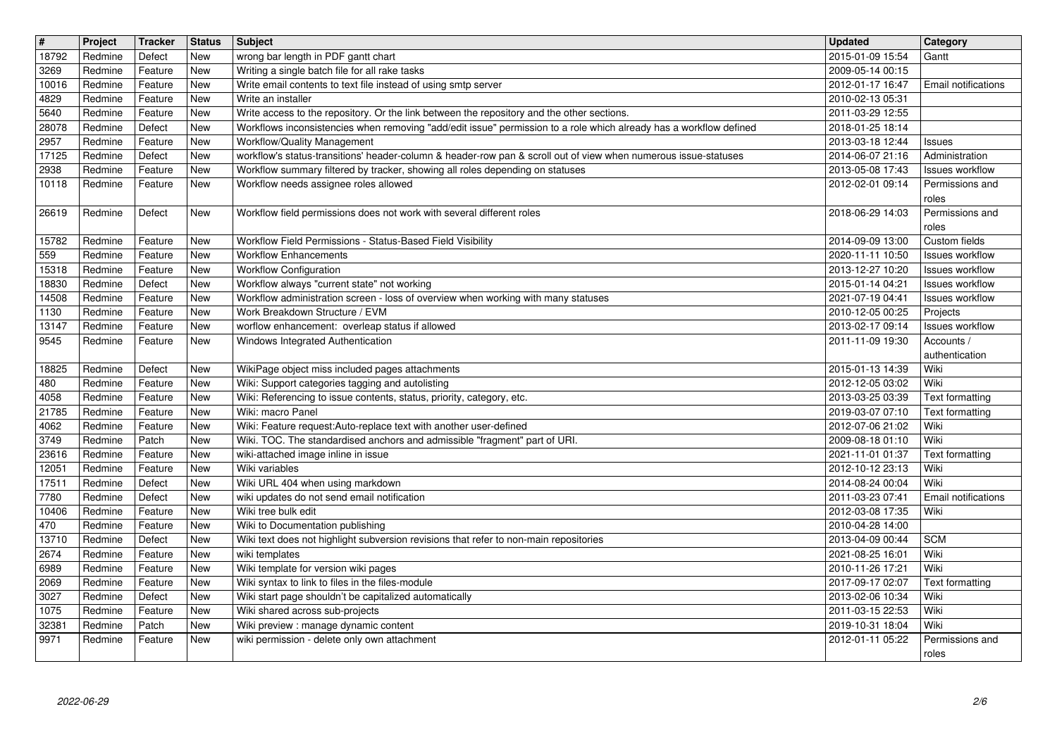| $\sqrt{\frac{4}{15}}$ | Project            | Tracker            | <b>Status</b>     | <b>Subject</b>                                                                                                                                                                                                   | <b>Updated</b>                       | Category                                  |
|-----------------------|--------------------|--------------------|-------------------|------------------------------------------------------------------------------------------------------------------------------------------------------------------------------------------------------------------|--------------------------------------|-------------------------------------------|
| 18792<br>3269         | Redmine<br>Redmine | Defect<br>Feature  | <b>New</b><br>New | wrong bar length in PDF gantt chart<br>Writing a single batch file for all rake tasks                                                                                                                            | 2015-01-09 15:54<br>2009-05-14 00:15 | Gantt                                     |
| 10016                 | Redmine            | Feature            | New               | Write email contents to text file instead of using smtp server                                                                                                                                                   | 2012-01-17 16:47                     | <b>Email notifications</b>                |
| 4829                  | Redmine            | Feature            | New               | Write an installer                                                                                                                                                                                               | 2010-02-13 05:31                     |                                           |
| 5640<br>28078         | Redmine<br>Redmine | Feature<br>Defect  | New<br>New        | Write access to the repository. Or the link between the repository and the other sections.<br>Workflows inconsistencies when removing "add/edit issue" permission to a role which already has a workflow defined | 2011-03-29 12:55<br>2018-01-25 18:14 |                                           |
| 2957                  | Redmine            | Feature            | New               | Workflow/Quality Management                                                                                                                                                                                      | 2013-03-18 12:44                     | Issues                                    |
| 17125<br>2938         | Redmine<br>Redmine | Defect<br>Feature  | New<br><b>New</b> | workflow's status-transitions' header-column & header-row pan & scroll out of view when numerous issue-statuses<br>Workflow summary filtered by tracker, showing all roles depending on statuses                 | 2014-06-07 21:16<br>2013-05-08 17:43 | Administration<br><b>Issues workflow</b>  |
| 10118                 | Redmine            | Feature            | New               | Workflow needs assignee roles allowed                                                                                                                                                                            | 2012-02-01 09:14                     | Permissions and                           |
|                       |                    |                    |                   |                                                                                                                                                                                                                  |                                      | roles                                     |
| 26619                 | Redmine            | Defect             | <b>New</b>        | Workflow field permissions does not work with several different roles                                                                                                                                            | 2018-06-29 14:03                     | Permissions and<br>roles                  |
| 15782                 | Redmine            | Feature            | New               | Workflow Field Permissions - Status-Based Field Visibility                                                                                                                                                       | 2014-09-09 13:00                     | Custom fields                             |
| 559                   | Redmine            | Feature            | New               | <b>Workflow Enhancements</b>                                                                                                                                                                                     | 2020-11-11 10:50                     | Issues workflow                           |
| 15318<br>18830        | Redmine<br>Redmine | Feature<br>Defect  | New<br>New        | <b>Workflow Configuration</b><br>Workflow always "current state" not working                                                                                                                                     | 2013-12-27 10:20<br>2015-01-14 04:21 | <b>Issues workflow</b><br>Issues workflow |
| 14508                 | Redmine            | Feature            | New               | Workflow administration screen - loss of overview when working with many statuses                                                                                                                                | 2021-07-19 04:41                     | Issues workflow                           |
| 1130                  | Redmine            | Feature            | New               | Work Breakdown Structure / EVM                                                                                                                                                                                   | 2010-12-05 00:25                     | Projects                                  |
| 13147<br>9545         | Redmine<br>Redmine | Feature<br>Feature | New<br>New        | worflow enhancement: overleap status if allowed<br>Windows Integrated Authentication                                                                                                                             | 2013-02-17 09:14<br>2011-11-09 19:30 | Issues workflow<br>Accounts /             |
|                       |                    |                    |                   |                                                                                                                                                                                                                  |                                      | authentication                            |
| 18825                 | Redmine<br>Redmine | Defect             | New               | WikiPage object miss included pages attachments                                                                                                                                                                  | 2015-01-13 14:39                     | Wiki<br>Wiki                              |
| 480<br>4058           | Redmine            | Feature<br>Feature | New<br>New        | Wiki: Support categories tagging and autolisting<br>Wiki: Referencing to issue contents, status, priority, category, etc.                                                                                        | 2012-12-05 03:02<br>2013-03-25 03:39 | <b>Text formatting</b>                    |
| 21785                 | Redmine            | Feature            | New               | Wiki: macro Panel                                                                                                                                                                                                | 2019-03-07 07:10                     | Text formatting                           |
| 4062<br>3749          | Redmine<br>Redmine | Feature<br>Patch   | New<br>New        | Wiki: Feature request:Auto-replace text with another user-defined<br>Wiki. TOC. The standardised anchors and admissible "fragment" part of URI.                                                                  | 2012-07-06 21:02<br>2009-08-18 01:10 | Wiki<br>Wiki                              |
| 23616                 | Redmine            | Feature            | <b>New</b>        | wiki-attached image inline in issue                                                                                                                                                                              | 2021-11-01 01:37                     | Text formatting                           |
| 12051                 | Redmine            | Feature            | New               | Wiki variables                                                                                                                                                                                                   | 2012-10-12 23:13                     | Wiki                                      |
| 17511<br>7780         | Redmine<br>Redmine | Defect<br>Defect   | New<br>New        | Wiki URL 404 when using markdown<br>wiki updates do not send email notification                                                                                                                                  | 2014-08-24 00:04<br>2011-03-23 07:41 | Wiki<br>Email notifications               |
| 10406                 | Redmine            | Feature            | <b>New</b>        | Wiki tree bulk edit                                                                                                                                                                                              | 2012-03-08 17:35                     | Wiki                                      |
| 470                   | Redmine            | Feature            | New               | Wiki to Documentation publishing                                                                                                                                                                                 | 2010-04-28 14:00                     |                                           |
| 13710<br>2674         | Redmine<br>Redmine | Defect<br>Feature  | New<br>New        | Wiki text does not highlight subversion revisions that refer to non-main repositories<br>wiki templates                                                                                                          | 2013-04-09 00:44<br>2021-08-25 16:01 | <b>SCM</b><br>Wiki                        |
| 6989                  | Redmine            | Feature            | <b>New</b>        | Wiki template for version wiki pages                                                                                                                                                                             | 2010-11-26 17:21                     | Wiki                                      |
| 2069                  | Redmine            | Feature            | New               | Wiki syntax to link to files in the files-module                                                                                                                                                                 | 2017-09-17 02:07                     | Text formatting                           |
| $3027$<br>1075        | Redmine<br>Redmine | Defect<br>Feature  | New<br><b>New</b> | Wiki start page shouldn't be capitalized automatically<br>Wiki shared across sub-projects                                                                                                                        | 2013-02-06 10:34<br>2011-03-15 22:53 | Wiki<br>Wiki                              |
| 32381                 | Redmine            | Patch              | New               | Wiki preview : manage dynamic content                                                                                                                                                                            | 2019-10-31 18:04                     | Wiki                                      |
| 9971                  | Redmine            | Feature            | New               | wiki permission - delete only own attachment                                                                                                                                                                     | 2012-01-11 05:22                     | Permissions and<br>roles                  |
|                       |                    |                    |                   |                                                                                                                                                                                                                  |                                      |                                           |
|                       |                    |                    |                   |                                                                                                                                                                                                                  |                                      |                                           |
|                       |                    |                    |                   |                                                                                                                                                                                                                  |                                      |                                           |
|                       |                    |                    |                   |                                                                                                                                                                                                                  |                                      |                                           |
|                       |                    |                    |                   |                                                                                                                                                                                                                  |                                      |                                           |
|                       |                    |                    |                   |                                                                                                                                                                                                                  |                                      |                                           |
|                       |                    |                    |                   |                                                                                                                                                                                                                  |                                      |                                           |
|                       |                    |                    |                   |                                                                                                                                                                                                                  |                                      |                                           |
|                       |                    |                    |                   |                                                                                                                                                                                                                  |                                      |                                           |
|                       |                    |                    |                   |                                                                                                                                                                                                                  |                                      |                                           |
|                       |                    |                    |                   |                                                                                                                                                                                                                  |                                      |                                           |
|                       |                    |                    |                   |                                                                                                                                                                                                                  |                                      |                                           |
|                       |                    |                    |                   |                                                                                                                                                                                                                  |                                      |                                           |
|                       |                    |                    |                   |                                                                                                                                                                                                                  |                                      |                                           |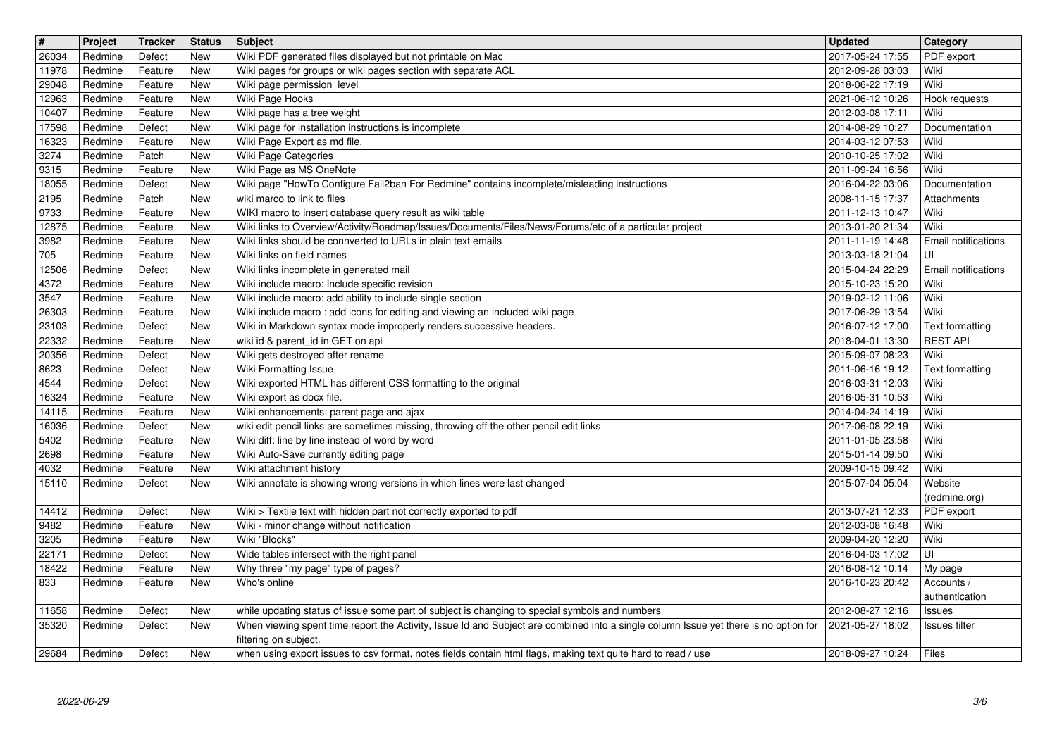| $\sqrt{t}$     | Project            | Tracker            | Status            | <b>Subject</b>                                                                                                                         | <b>Updated</b>                       | Category                         |
|----------------|--------------------|--------------------|-------------------|----------------------------------------------------------------------------------------------------------------------------------------|--------------------------------------|----------------------------------|
| 26034          | Redmine            | Defect             | <b>New</b>        | Wiki PDF generated files displayed but not printable on Mac                                                                            | 2017-05-24 17:55                     | PDF export                       |
| 11978<br>29048 | Redmine<br>Redmine | Feature<br>Feature | New<br>New        | Wiki pages for groups or wiki pages section with separate ACL<br>Wiki page permission level                                            | 2012-09-28 03:03<br>2018-06-22 17:19 | Wiki<br>Wiki                     |
| 12963          | Redmine            | Feature            | New               | Wiki Page Hooks                                                                                                                        | 2021-06-12 10:26                     | Hook requests                    |
| 10407          | Redmine            | Feature            | New               | Wiki page has a tree weight                                                                                                            | 2012-03-08 17:11                     | Wiki                             |
| 17598          | Redmine            | Defect             | New               | Wiki page for installation instructions is incomplete                                                                                  | 2014-08-29 10:27                     | Documentation                    |
| 16323          | Redmine            | Feature            | New               | Wiki Page Export as md file.                                                                                                           | 2014-03-12 07:53                     | Wiki                             |
| 3274           | Redmine            | Patch              | New               | Wiki Page Categories                                                                                                                   | 2010-10-25 17:02                     | Wiki                             |
| 9315<br>18055  | Redmine<br>Redmine | Feature<br>Defect  | New<br>New        | Wiki Page as MS OneNote<br>Wiki page "HowTo Configure Fail2ban For Redmine" contains incomplete/misleading instructions                | 2011-09-24 16:56<br>2016-04-22 03:06 | Wiki<br>Documentation            |
| 2195           | Redmine            | Patch              | New               | wiki marco to link to files                                                                                                            | 2008-11-15 17:37                     | Attachments                      |
| 9733           | Redmine            | Feature            | New               | WIKI macro to insert database query result as wiki table                                                                               | 2011-12-13 10:47                     | Wiki                             |
| 12875          | Redmine            | Feature            | New               | Wiki links to Overview/Activity/Roadmap/Issues/Documents/Files/News/Forums/etc of a particular project                                 | 2013-01-20 21:34                     | Wiki                             |
| 3982           | Redmine            | Feature            | New               | Wiki links should be connverted to URLs in plain text emails                                                                           | 2011-11-19 14:48                     | Email notifications              |
| 705            | Redmine            | Feature            | New               | Wiki links on field names                                                                                                              | 2013-03-18 21:04                     | UI<br><b>Email notifications</b> |
| 12506<br>4372  | Redmine<br>Redmine | Defect<br>Feature  | New<br>New        | Wiki links incomplete in generated mail<br>Wiki include macro: Include specific revision                                               | 2015-04-24 22:29<br>2015-10-23 15:20 | Wiki                             |
| 3547           | Redmine            | Feature            | New               | Wiki include macro: add ability to include single section                                                                              | 2019-02-12 11:06                     | Wiki                             |
| 26303          | Redmine            | Feature            | New               | Wiki include macro: add icons for editing and viewing an included wiki page                                                            | 2017-06-29 13:54                     | Wiki                             |
| 23103          | Redmine            | Defect             | New               | Wiki in Markdown syntax mode improperly renders successive headers.                                                                    | 2016-07-12 17:00                     | Text formatting                  |
| 22332          | Redmine            | Feature            | New               | wiki id & parent_id in GET on api                                                                                                      | 2018-04-01 13:30                     | <b>REST API</b>                  |
| 20356<br>8623  | Redmine<br>Redmine | Defect<br>Defect   | New<br>New        | Wiki gets destroyed after rename<br>Wiki Formatting Issue                                                                              | 2015-09-07 08:23<br>2011-06-16 19:12 | Wiki<br>Text formatting          |
| 4544           | Redmine            | Defect             | New               | Wiki exported HTML has different CSS formatting to the original                                                                        | 2016-03-31 12:03                     | Wiki                             |
| 16324          | Redmine            | Feature            | New               | Wiki export as docx file.                                                                                                              | 2016-05-31 10:53                     | Wiki                             |
| 14115          | Redmine            | Feature            | New               | Wiki enhancements: parent page and ajax                                                                                                | 2014-04-24 14:19                     | Wiki                             |
| 16036          | Redmine            | Defect             | New               | wiki edit pencil links are sometimes missing, throwing off the other pencil edit links                                                 | 2017-06-08 22:19                     | Wiki                             |
| 5402<br>2698   | Redmine<br>Redmine | Feature<br>Feature | <b>New</b><br>New | Wiki diff: line by line instead of word by word<br>Wiki Auto-Save currently editing page                                               | 2011-01-05 23:58<br>2015-01-14 09:50 | Wiki<br>Wiki                     |
| 4032           | Redmine            | Feature            | New               | Wiki attachment history                                                                                                                | 2009-10-15 09:42                     | Wiki                             |
| 15110          | Redmine            | Defect             | New               | Wiki annotate is showing wrong versions in which lines were last changed                                                               | 2015-07-04 05:04                     | Website                          |
|                |                    |                    |                   |                                                                                                                                        |                                      | (redmine.org)                    |
| 14412          | Redmine            | Defect             | New               | Wiki > Textile text with hidden part not correctly exported to pdf                                                                     | 2013-07-21 12:33                     | PDF export                       |
| 9482           | Redmine            | Feature            | New               | Wiki - minor change without notification                                                                                               | 2012-03-08 16:48                     | Wiki                             |
| 3205<br>22171  | Redmine<br>Redmine | Feature<br>Defect  | New<br>New        | Wiki "Blocks"<br>Wide tables intersect with the right panel                                                                            | 2009-04-20 12:20<br>2016-04-03 17:02 | Wiki<br>UI                       |
| 18422          | Redmine            | Feature            | New               | Why three "my page" type of pages?                                                                                                     | 2016-08-12 10:14                     | My page                          |
| 833            | Redmine            | Feature            | <b>New</b>        | Who's online                                                                                                                           | 2016-10-23 20:42                     | Accounts /                       |
|                |                    |                    |                   |                                                                                                                                        |                                      | authentication                   |
| 11658          | Redmine            | Defect             | <b>New</b>        | while updating status of issue some part of subject is changing to special symbols and numbers                                         | 2012-08-27 12:16                     | <b>Issues</b>                    |
| 35320          | Redmine            | Defect             | New               | When viewing spent time report the Activity, Issue Id and Subject are combined into a single column Issue yet there is no option for   | 2021-05-27 18:02                     | Issues filter                    |
| 29684          | Redmine            | Defect             | New               | filtering on subject.<br>when using export issues to csv format, notes fields contain html flags, making text quite hard to read / use | 2018-09-27 10:24                     | Files                            |
|                |                    |                    |                   |                                                                                                                                        |                                      |                                  |
|                |                    |                    |                   |                                                                                                                                        |                                      |                                  |
|                |                    |                    |                   |                                                                                                                                        |                                      |                                  |
|                |                    |                    |                   |                                                                                                                                        |                                      |                                  |
|                |                    |                    |                   |                                                                                                                                        |                                      |                                  |
|                |                    |                    |                   |                                                                                                                                        |                                      |                                  |
|                |                    |                    |                   |                                                                                                                                        |                                      |                                  |
|                |                    |                    |                   |                                                                                                                                        |                                      |                                  |
|                |                    |                    |                   |                                                                                                                                        |                                      |                                  |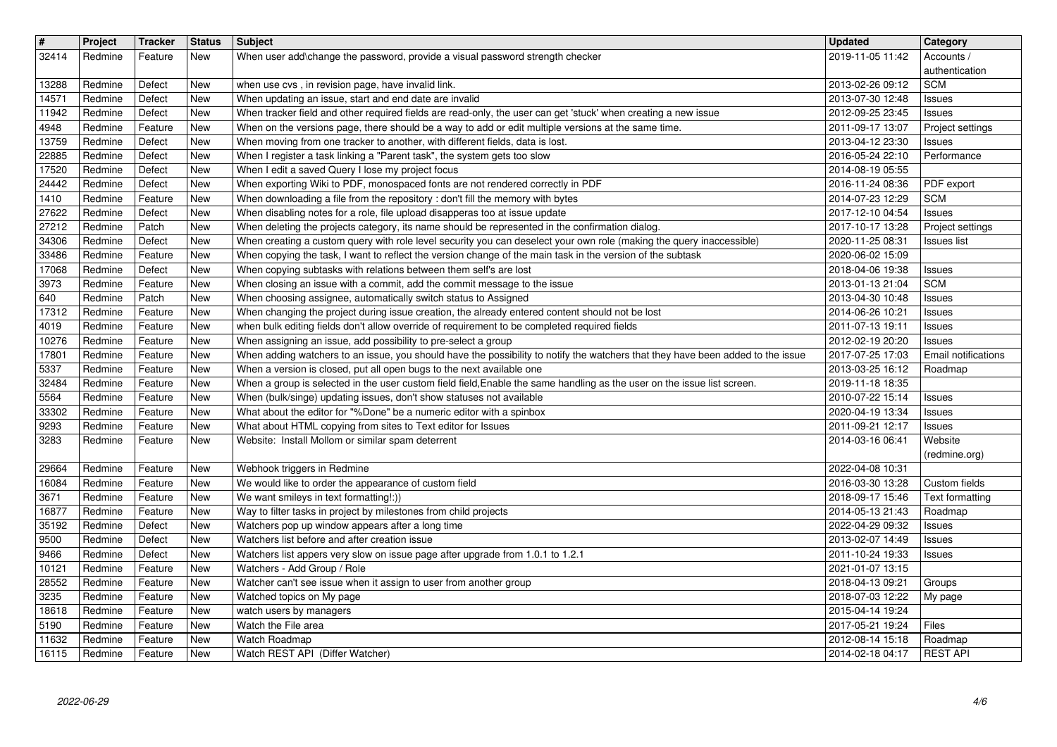| $\overline{\mathbf{H}}$<br>32414 | Project<br>Redmine | <b>Tracker</b><br>Feature | <b>Status</b><br>New     | <b>Subject</b><br>When user add\change the password, provide a visual password strength checker                                                                                                                                    | <b>Updated</b><br>2019-11-05 11:42             | Category<br>Accounts /                      |
|----------------------------------|--------------------|---------------------------|--------------------------|------------------------------------------------------------------------------------------------------------------------------------------------------------------------------------------------------------------------------------|------------------------------------------------|---------------------------------------------|
| 13288                            | Redmine            | Defect                    | New                      | when use cvs, in revision page, have invalid link.                                                                                                                                                                                 | 2013-02-26 09:12                               | authentication<br><b>SCM</b>                |
| 14571<br>11942                   | Redmine<br>Redmine | Defect<br>Defect          | New<br>New               | When updating an issue, start and end date are invalid<br>When tracker field and other required fields are read-only, the user can get 'stuck' when creating a new issue                                                           | 2013-07-30 12:48<br>2012-09-25 23:45           | Issues                                      |
| 4948                             | Redmine            | Feature                   | <b>New</b>               | When on the versions page, there should be a way to add or edit multiple versions at the same time.                                                                                                                                | 2011-09-17 13:07                               | <b>Issues</b><br>Project settings           |
| 13759<br>22885                   | Redmine<br>Redmine | Defect<br>Defect          | New<br>New               | When moving from one tracker to another, with different fields, data is lost.<br>When I register a task linking a "Parent task", the system gets too slow                                                                          | 2013-04-12 23:30<br>2016-05-24 22:10           | <b>Issues</b><br>Performance                |
| 17520<br>24442                   | Redmine<br>Redmine | Defect<br>Defect          | <b>New</b><br><b>New</b> | When I edit a saved Query I lose my project focus<br>When exporting Wiki to PDF, monospaced fonts are not rendered correctly in PDF                                                                                                | 2014-08-19 05:55<br>2016-11-24 08:36           | PDF export                                  |
| 1410                             | Redmine            | Feature                   | <b>New</b><br><b>New</b> | When downloading a file from the repository : don't fill the memory with bytes<br>When disabling notes for a role, file upload disapperas too at issue update                                                                      | 2014-07-23 12:29                               | <b>SCM</b>                                  |
| 27622<br>27212                   | Redmine<br>Redmine | Defect<br>Patch           | <b>New</b>               | When deleting the projects category, its name should be represented in the confirmation dialog.                                                                                                                                    | 2017-12-10 04:54<br>2017-10-17 13:28           | <b>Issues</b><br>Project settings           |
| 34306<br>33486                   | Redmine<br>Redmine | Defect<br>Feature         | <b>New</b><br><b>New</b> | When creating a custom query with role level security you can deselect your own role (making the query inaccessible)<br>When copying the task, I want to reflect the version change of the main task in the version of the subtask | 2020-11-25 08:31<br>2020-06-02 15:09           | <b>Issues list</b>                          |
| 17068<br>3973                    | Redmine<br>Redmine | Defect<br>Feature         | New<br>New               | When copying subtasks with relations between them self's are lost<br>When closing an issue with a commit, add the commit message to the issue                                                                                      | 2018-04-06 19:38<br>2013-01-13 21:04           | Issues<br><b>SCM</b>                        |
| 640<br>17312                     | Redmine<br>Redmine | Patch<br>Feature          | New<br>New               | When choosing assignee, automatically switch status to Assigned<br>When changing the project during issue creation, the already entered content should not be lost                                                                 | 2013-04-30 10:48<br>2014-06-26 10:21           | <b>Issues</b><br><b>Issues</b>              |
| 4019                             | Redmine            | Feature                   | New                      | when bulk editing fields don't allow override of requirement to be completed required fields                                                                                                                                       | 2011-07-13 19:11                               | <b>Issues</b>                               |
| 10276<br>17801                   | Redmine<br>Redmine | Feature<br>Feature        | New<br>New               | When assigning an issue, add possibility to pre-select a group<br>When adding watchers to an issue, you should have the possibility to notify the watchers that they have been added to the issue                                  | 2012-02-19 20:20<br>2017-07-25 17:03           | <b>Issues</b><br><b>Email notifications</b> |
| 5337<br>32484                    | Redmine<br>Redmine | Feature<br>Feature        | New<br>New               | When a version is closed, put all open bugs to the next available one<br>When a group is selected in the user custom field field, Enable the same handling as the user on the issue list screen.                                   | 2013-03-25 16:12<br>2019-11-18 18:35           | Roadmap                                     |
| 5564<br>33302                    | Redmine<br>Redmine | Feature<br>Feature        | New<br>New               | When (bulk/singe) updating issues, don't show statuses not available<br>What about the editor for "%Done" be a numeric editor with a spinbox                                                                                       | 2010-07-22 15:14<br>2020-04-19 13:34           | Issues<br><b>Issues</b>                     |
| 9293                             | Redmine            | Feature                   | New                      | What about HTML copying from sites to Text editor for Issues                                                                                                                                                                       | 2011-09-21 12:17                               | <b>Issues</b>                               |
| 3283                             | Redmine            | Feature                   | New                      | Website: Install Mollom or similar spam deterrent                                                                                                                                                                                  | 2014-03-16 06:41                               | Website<br>(redmine.org)                    |
| 29664<br>16084                   | Redmine<br>Redmine | Feature<br>Feature        | New<br>New               | Webhook triggers in Redmine<br>We would like to order the appearance of custom field                                                                                                                                               | 2022-04-08 10:31<br>2016-03-30 13:28           | Custom fields                               |
| 3671<br>16877                    | Redmine<br>Redmine | Feature<br>Feature        | New<br>New               | We want smileys in text formatting!:))<br>Way to filter tasks in project by milestones from child projects                                                                                                                         | 2018-09-17 15:46<br>2014-05-13 21:43           | Text formatting                             |
| 35192                            | Redmine            | Defect                    | New                      | Watchers pop up window appears after a long time                                                                                                                                                                                   | 2022-04-29 09:32                               | Roadmap<br>Issues                           |
| 9500<br>9466                     | Redmine<br>Redmine | Defect<br>Defect          | <b>New</b><br><b>New</b> | Watchers list before and after creation issue<br>Watchers list appers very slow on issue page after upgrade from 1.0.1 to 1.2.1                                                                                                    | 2013-02-07 14:49<br>2011-10-24 19:33           | Issues<br>Issues                            |
| 10121<br>28552                   | Redmine<br>Redmine | Feature<br>Feature        | <b>New</b><br>New        | Watchers - Add Group / Role<br>Watcher can't see issue when it assign to user from another group                                                                                                                                   | 2021-01-07 13:15<br>2018-04-13 09:21           | Groups                                      |
| 3235<br>18618                    | Redmine<br>Redmine | Feature<br>Feature        | New<br>New               | Watched topics on My page<br>watch users by managers                                                                                                                                                                               | 2018-07-03 12:22   My page<br>2015-04-14 19:24 |                                             |
| 5190                             | Redmine            | Feature                   | New                      | Watch the File area                                                                                                                                                                                                                | 2017-05-21 19:24                               | Files                                       |
| 11632<br>16115                   | Redmine<br>Redmine | Feature<br>Feature        | <b>New</b><br><b>New</b> | Watch Roadmap<br>Watch REST API (Differ Watcher)                                                                                                                                                                                   | 2012-08-14 15:18<br>2014-02-18 04:17           | Roadmap<br><b>REST API</b>                  |
|                                  |                    |                           |                          |                                                                                                                                                                                                                                    |                                                |                                             |
|                                  |                    |                           |                          |                                                                                                                                                                                                                                    |                                                |                                             |
|                                  |                    |                           |                          |                                                                                                                                                                                                                                    |                                                |                                             |
|                                  |                    |                           |                          |                                                                                                                                                                                                                                    |                                                |                                             |
|                                  |                    |                           |                          |                                                                                                                                                                                                                                    |                                                |                                             |
|                                  |                    |                           |                          |                                                                                                                                                                                                                                    |                                                |                                             |
|                                  |                    |                           |                          |                                                                                                                                                                                                                                    |                                                |                                             |
|                                  |                    |                           |                          |                                                                                                                                                                                                                                    |                                                |                                             |
|                                  |                    |                           |                          |                                                                                                                                                                                                                                    |                                                |                                             |
|                                  |                    |                           |                          |                                                                                                                                                                                                                                    |                                                |                                             |
|                                  |                    |                           |                          |                                                                                                                                                                                                                                    |                                                |                                             |
|                                  |                    |                           |                          |                                                                                                                                                                                                                                    |                                                |                                             |
|                                  |                    |                           |                          |                                                                                                                                                                                                                                    |                                                |                                             |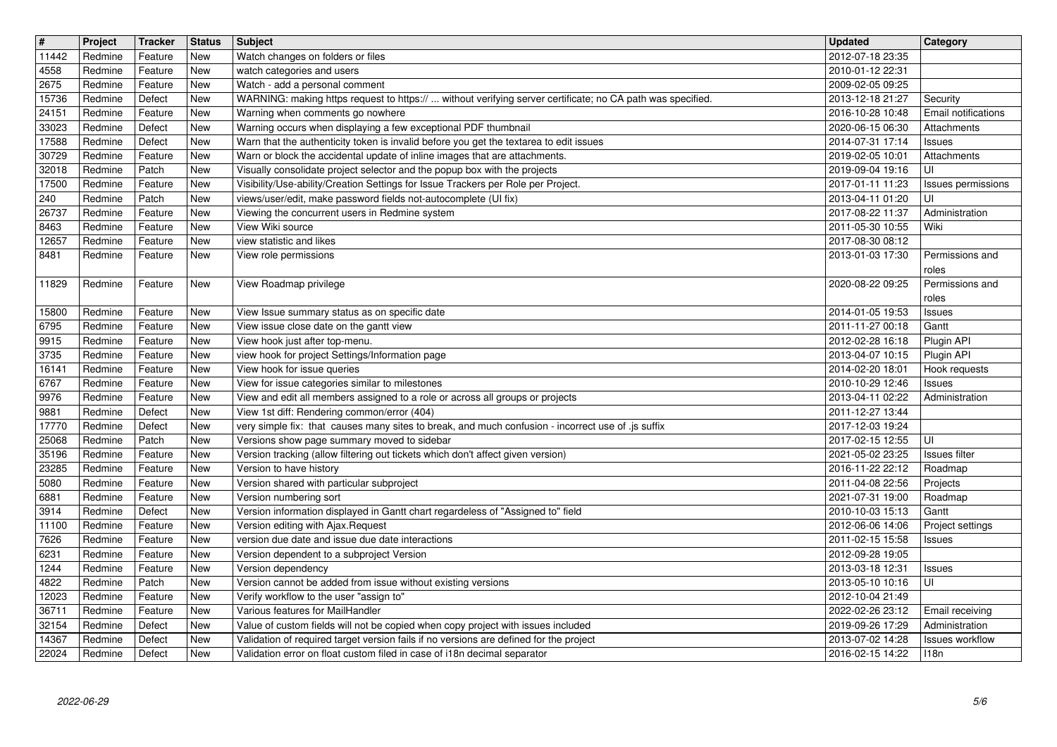| $\vert$ #<br>11442 | Project<br>Redmine | Tracker<br>Feature | <b>Status</b><br>New     | Subject<br>Watch changes on folders or files                                                                                                                         | <b>Updated</b><br>2012-07-18 23:35   | Category                               |
|--------------------|--------------------|--------------------|--------------------------|----------------------------------------------------------------------------------------------------------------------------------------------------------------------|--------------------------------------|----------------------------------------|
| 4558               | Redmine            | Feature            | New                      | watch categories and users                                                                                                                                           | 2010-01-12 22:31                     |                                        |
| 2675               | Redmine            | Feature            | New                      | Watch - add a personal comment                                                                                                                                       | 2009-02-05 09:25                     |                                        |
| 15736<br>24151     | Redmine<br>Redmine | Defect<br>Feature  | New<br>New               | WARNING: making https request to https://  without verifying server certificate; no CA path was specified.<br>Warning when comments go nowhere                       | 2013-12-18 21:27<br>2016-10-28 10:48 | Security<br><b>Email notifications</b> |
| 33023              | Redmine            | Defect             | New                      | Warning occurs when displaying a few exceptional PDF thumbnail                                                                                                       | 2020-06-15 06:30                     | Attachments                            |
| 17588<br>30729     | Redmine<br>Redmine | Defect<br>Feature  | New<br>New               | Warn that the authenticity token is invalid before you get the textarea to edit issues<br>Warn or block the accidental update of inline images that are attachments. | 2014-07-31 17:14<br>2019-02-05 10:01 | <b>Issues</b><br>Attachments           |
| 32018              | Redmine            | Patch              | New                      | Visually consolidate project selector and the popup box with the projects                                                                                            | 2019-09-04 19:16                     | UI                                     |
| 17500              | Redmine            | Feature            | New                      | Visibility/Use-ability/Creation Settings for Issue Trackers per Role per Project.                                                                                    | 2017-01-11 11:23                     | Issues permissions                     |
| 240<br>26737       | Redmine<br>Redmine | Patch<br>Feature   | New<br>New               | views/user/edit, make password fields not-autocomplete (UI fix)<br>Viewing the concurrent users in Redmine system                                                    | 2013-04-11 01:20<br>2017-08-22 11:37 | UI<br>Administration                   |
| 8463               | Redmine            | Feature            | New                      | View Wiki source                                                                                                                                                     | 2011-05-30 10:55                     | Wiki                                   |
| 12657<br>8481      | Redmine<br>Redmine | Feature<br>Feature | New<br>New               | view statistic and likes<br>View role permissions                                                                                                                    | 2017-08-30 08:12<br>2013-01-03 17:30 | Permissions and                        |
|                    |                    |                    |                          |                                                                                                                                                                      |                                      | roles                                  |
| 11829              | Redmine            | Feature            | New                      | View Roadmap privilege                                                                                                                                               | 2020-08-22 09:25                     | Permissions and<br>roles               |
| 15800              | Redmine            | Feature            | New                      | View Issue summary status as on specific date                                                                                                                        | 2014-01-05 19:53                     | <b>Issues</b>                          |
| 6795<br>9915       | Redmine<br>Redmine | Feature<br>Feature | <b>New</b><br><b>New</b> | View issue close date on the gantt view<br>View hook just after top-menu.                                                                                            | 2011-11-27 00:18<br>2012-02-28 16:18 | Gantt<br>Plugin API                    |
| 3735               | Redmine            | Feature            | <b>New</b>               | view hook for project Settings/Information page                                                                                                                      | 2013-04-07 10:15                     | Plugin API                             |
| 16141              | Redmine            | Feature            | New                      | View hook for issue queries                                                                                                                                          | 2014-02-20 18:01                     | Hook requests                          |
| 6767<br>9976       | Redmine<br>Redmine | Feature<br>Feature | New<br>New               | View for issue categories similar to milestones<br>View and edit all members assigned to a role or across all groups or projects                                     | 2010-10-29 12:46<br>2013-04-11 02:22 | <b>Issues</b><br>Administration        |
| 9881               | Redmine            | Defect             | New                      | View 1st diff: Rendering common/error (404)                                                                                                                          | 2011-12-27 13:44                     |                                        |
| 17770<br>25068     | Redmine<br>Redmine | Defect<br>Patch    | New<br><b>New</b>        | very simple fix: that causes many sites to break, and much confusion - incorrect use of .js suffix<br>Versions show page summary moved to sidebar                    | 2017-12-03 19:24<br>2017-02-15 12:55 | UI                                     |
| 35196              | Redmine            | Feature            | <b>New</b>               | Version tracking (allow filtering out tickets which don't affect given version)                                                                                      | 2021-05-02 23:25                     | <b>Issues</b> filter                   |
| 23285<br>5080      | Redmine<br>Redmine | Feature<br>Feature | <b>New</b><br>New        | Version to have history<br>Version shared with particular subproject                                                                                                 | 2016-11-22 22:12<br>2011-04-08 22:56 | Roadmap<br>Projects                    |
| 6881               | Redmine            | Feature            | New                      | Version numbering sort                                                                                                                                               | 2021-07-31 19:00                     | Roadmap                                |
| 3914               | Redmine            | Defect             | New                      | Version information displayed in Gantt chart regardeless of "Assigned to" field                                                                                      | 2010-10-03 15:13                     | Gantt                                  |
| 11100<br>7626      | Redmine<br>Redmine | Feature<br>Feature | New<br>New               | Version editing with Ajax. Request<br>version due date and issue due date interactions                                                                               | 2012-06-06 14:06<br>2011-02-15 15:58 | Project settings<br><b>Issues</b>      |
| 6231               | Redmine            | Feature            | New                      | Version dependent to a subproject Version                                                                                                                            | 2012-09-28 19:05                     |                                        |
| 1244<br>4822       | Redmine<br>Redmine | Feature<br>Patch   | <b>New</b><br><b>New</b> | Version dependency<br>Version cannot be added from issue without existing versions                                                                                   | 2013-03-18 12:31<br>2013-05-10 10:16 | <b>Issues</b><br>UI                    |
| 12023              | Redmine            | Feature            | New                      | Verify workflow to the user "assign to"                                                                                                                              | 2012-10-04 21:49                     |                                        |
| 36711<br>32154     | Redmine            | Feature            | New<br>New               | Various features for MailHandler<br>Value of custom fields will not be copied when copy project with issues included                                                 | 2022-02-26 23:12                     | Email receiving<br>Administration      |
| 14367              | Redmine<br>Redmine | Defect<br>Defect   | New                      | Validation of required target version fails if no versions are defined for the project                                                                               | 2019-09-26 17:29<br>2013-07-02 14:28 | Issues workflow                        |
| 22024              | Redmine            | Defect             | <b>New</b>               | Validation error on float custom filed in case of i18n decimal separator                                                                                             | 2016-02-15 14:22                     | 118n                                   |
|                    |                    |                    |                          |                                                                                                                                                                      |                                      |                                        |
|                    |                    |                    |                          |                                                                                                                                                                      |                                      |                                        |
|                    |                    |                    |                          |                                                                                                                                                                      |                                      |                                        |
|                    |                    |                    |                          |                                                                                                                                                                      |                                      |                                        |
|                    |                    |                    |                          |                                                                                                                                                                      |                                      |                                        |
|                    |                    |                    |                          |                                                                                                                                                                      |                                      |                                        |
|                    |                    |                    |                          |                                                                                                                                                                      |                                      |                                        |
|                    |                    |                    |                          |                                                                                                                                                                      |                                      |                                        |
|                    |                    |                    |                          |                                                                                                                                                                      |                                      |                                        |
|                    |                    |                    |                          |                                                                                                                                                                      |                                      |                                        |
|                    |                    |                    |                          |                                                                                                                                                                      |                                      |                                        |
|                    |                    |                    |                          |                                                                                                                                                                      |                                      |                                        |
|                    |                    |                    |                          |                                                                                                                                                                      |                                      |                                        |
|                    |                    |                    |                          |                                                                                                                                                                      |                                      |                                        |
|                    |                    |                    |                          |                                                                                                                                                                      |                                      |                                        |
|                    |                    |                    |                          |                                                                                                                                                                      |                                      |                                        |
|                    |                    |                    |                          |                                                                                                                                                                      |                                      |                                        |
|                    |                    |                    |                          |                                                                                                                                                                      |                                      |                                        |
|                    |                    |                    |                          |                                                                                                                                                                      |                                      |                                        |
|                    |                    |                    |                          |                                                                                                                                                                      |                                      |                                        |
|                    |                    |                    |                          |                                                                                                                                                                      |                                      |                                        |
|                    |                    |                    |                          |                                                                                                                                                                      |                                      |                                        |
|                    |                    |                    |                          |                                                                                                                                                                      |                                      |                                        |
|                    |                    |                    |                          |                                                                                                                                                                      |                                      |                                        |
|                    |                    |                    |                          |                                                                                                                                                                      |                                      |                                        |
|                    |                    |                    |                          |                                                                                                                                                                      |                                      |                                        |
|                    |                    |                    |                          |                                                                                                                                                                      |                                      |                                        |
|                    |                    |                    |                          |                                                                                                                                                                      |                                      |                                        |
|                    |                    |                    |                          |                                                                                                                                                                      |                                      |                                        |
|                    |                    |                    |                          |                                                                                                                                                                      |                                      |                                        |
|                    |                    |                    |                          |                                                                                                                                                                      |                                      |                                        |
|                    |                    |                    |                          |                                                                                                                                                                      |                                      |                                        |
|                    |                    |                    |                          |                                                                                                                                                                      |                                      |                                        |
|                    |                    |                    |                          |                                                                                                                                                                      |                                      |                                        |
|                    |                    |                    |                          |                                                                                                                                                                      |                                      |                                        |